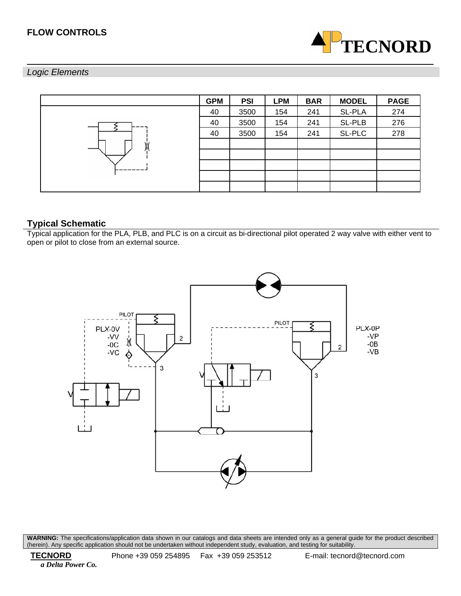# **FLOW CONTROLS**



# *Logic Elements*

|    | <b>GPM</b> | <b>PSI</b> | <b>LPM</b> | <b>BAR</b> | <b>MODEL</b> | <b>PAGE</b> |
|----|------------|------------|------------|------------|--------------|-------------|
|    | 40         | 3500       | 154        | 241        | SL-PLA       | 274         |
|    | 40         | 3500       | 154        | 241        | SL-PLB       | 276         |
|    | 40         | 3500       | 154        | 241        | SL-PLC       | 278         |
| ١i |            |            |            |            |              |             |
|    |            |            |            |            |              |             |
|    |            |            |            |            |              |             |
|    |            |            |            |            |              |             |
|    |            |            |            |            |              |             |

# **Typical Schematic**

Typical application for the PLA, PLB, and PLC is on a circuit as bi-directional pilot operated 2 way valve with either vent to open or pilot to close from an external source.

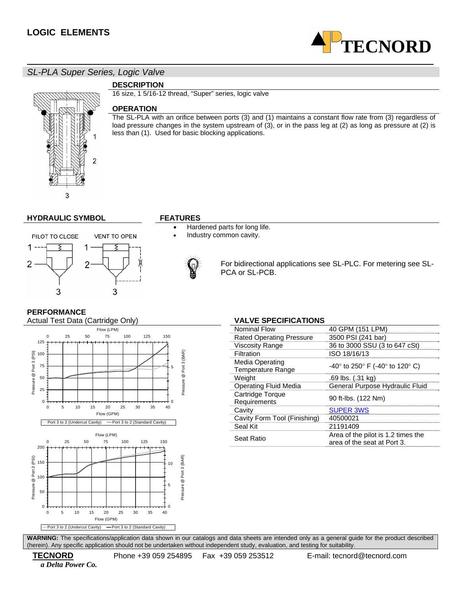

*SL-PLA Super Series, Logic Valve* 

# **DESCRIPTION**

16 size, 1 5/16-12 thread, "Super" series, logic valve

## **OPERATION**

The SL-PLA with an orifice between ports (3) and (1) maintains a constant flow rate from (3) regardless of load pressure changes in the system upstream of (3), or in the pass leg at (2) as long as pressure at (2) is less than (1). Used for basic blocking applications.



### **HYDRAULIC SYMBOL FEATURES**

- Hardened parts for long life.
- Industry common cavity.



For bidirectional applications see SL-PLC. For metering see SL-PCA or SL-PCB.

## **PERFORMANCE**



| Nominal Flow                                | 40 GPM (151 LPM)                                                  |
|---------------------------------------------|-------------------------------------------------------------------|
| <b>Rated Operating Pressure</b>             | 3500 PSI (241 bar)                                                |
| <b>Viscosity Range</b>                      | 36 to 3000 SSU (3 to 647 cSt)                                     |
| Filtration                                  | ISO 18/16/13                                                      |
| Media Operating<br><b>Temperature Range</b> | $-40^{\circ}$ to 250° F (-40° to 120° C)                          |
| Weight                                      | .69 lbs. (.31 kg)                                                 |
| Operating Fluid Media                       | General Purpose Hydraulic Fluid                                   |
| Cartridge Torque<br>Requirements            | 90 ft-lbs. (122 Nm)                                               |
| Cavity                                      | <b>SUPER 3WS</b>                                                  |
| Cavity Form Tool (Finishing)                | 40500021                                                          |
| Seal Kit                                    | 21191409                                                          |
| Seat Ratio                                  | Area of the pilot is 1.2 times the<br>area of the seat at Port 3. |
|                                             |                                                                   |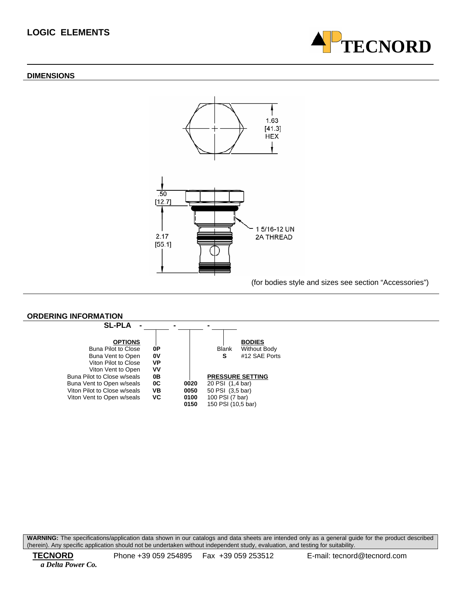# **LOGIC ELEMENTS**

#### **DIMENSIONS**





(for bodies style and sizes see section "Accessories")

#### **ORDERING INFORMATION**

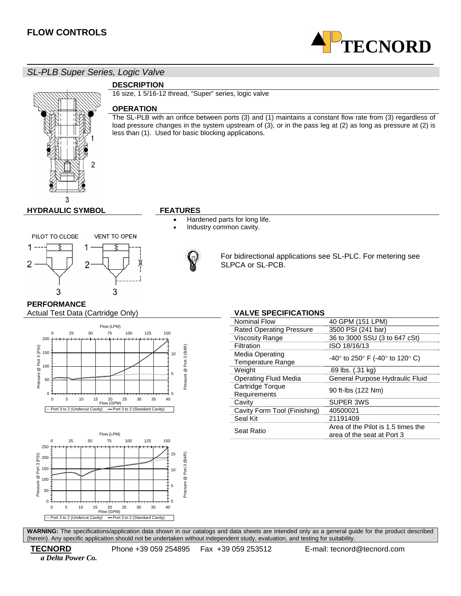

*SL-PLB Super Series, Logic Valve* 

## **DESCRIPTION**

16 size, 1 5/16-12 thread, "Super" series, logic valve

### **OPERATION**

The SL-PLB with an orifice between ports (3) and (1) maintains a constant flow rate from (3) regardless of load pressure changes in the system upstream of (3), or in the pass leg at (2) as long as pressure at (2) is less than (1). Used for basic blocking applications.



- Hardened parts for long life.
- Industry common cavity.



For bidirectional applications see SL-PLC. For metering see SLPCA or SL-PCB.

Viscosity Range 36 to 3000 SSU (3 to 647 cSt)

## **PERFORMANCE**

Actual Test Data (Cartridge Only) **VALVE SPECIFICATIONS** 





#### Media Operating we a Uperatury<br>Temperature Range Temperature Range Weight .69 lbs. (.31 kg)<br>Operating Fluid Media ... General Purpos General Purpose Hydraulic Fluid Cartridge Torque<br>Requirements 90 ft-lbs (122 Nm)

Filtration ISO 18/16/13

Nominal Flow 40 GPM (151 LPM) Rated Operating Pressure 3500 PSI (241 bar)

| Cavity                       | SUPER 3WS                          |
|------------------------------|------------------------------------|
| Cavity Form Tool (Finishing) | 40500021                           |
| Seal Kit                     | 21191409                           |
| Seat Ratio                   | Area of the Pilot is 1.5 times the |
|                              | area of the seat at Port 3         |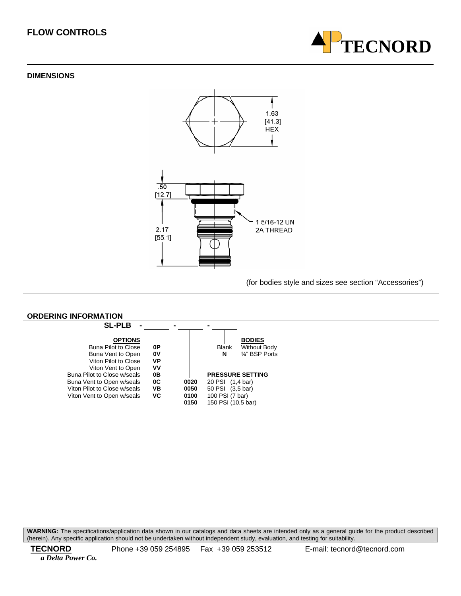# **FLOW CONTROLS**

#### **DIMENSIONS**





(for bodies style and sizes see section "Accessories")

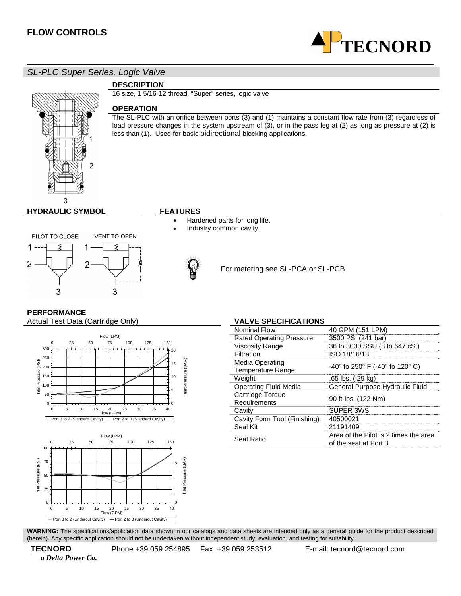

# *SL-PLC Super Series, Logic Valve*

# 2 3

# **DESCRIPTION**

16 size, 1 5/16-12 thread, "Super" series, logic valve

## **OPERATION**

The SL-PLC with an orifice between ports (3) and (1) maintains a constant flow rate from (3) regardless of load pressure changes in the system upstream of (3), or in the pass leg at (2) as long as pressure at (2) is less than (1). Used for basic bidirectional blocking applications.

# **HYDRAULIC SYMBOL FEATURES**

#### PILOT TO CLOSE **VENT TO OPEN** 1 s 1 2 2 3 3

- Hardened parts for long life.
- Industry common cavity.



For metering see SL-PCA or SL-PCB.

# **PERFORMANCE**

Actual Test Data (Cartridge Only) **VALVE SPECIFICATIONS** 





Rated Operating Pressure 3500 PSI (241 bar)

Nominal Flow 40 GPM (151 LPM)

| Viscosity Range                      | 36 to 3000 SSU (3 to 647 cSt)                                  |  |
|--------------------------------------|----------------------------------------------------------------|--|
| Filtration                           | ISO 18/16/13                                                   |  |
| Media Operating<br>Temperature Range | $-40^{\circ}$ to 250° F (-40° to 120° C)                       |  |
| Weight                               | .65 lbs. (.29 kg)                                              |  |
| <b>Operating Fluid Media</b>         | General Purpose Hydraulic Fluid                                |  |
| Cartridge Torque<br>Requirements     | 90 ft-lbs. (122 Nm)                                            |  |
| Cavity                               | SUPER 3WS                                                      |  |
| Cavity Form Tool (Finishing)         | 40500021                                                       |  |
| Seal Kit                             | 21191409                                                       |  |
| Seat Ratio                           | Area of the Pilot is 2 times the area<br>of the seat at Port 3 |  |